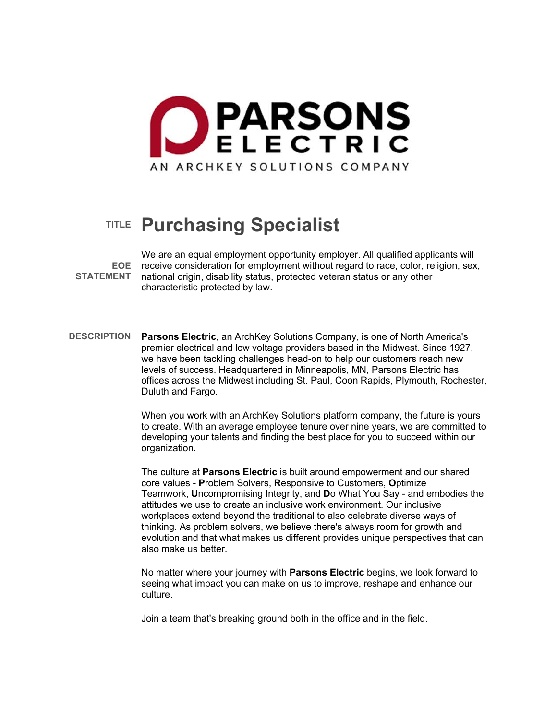

# **TITLE Purchasing Specialist**

**EOE**  receive consideration for employment without regard to race, color, religion, sex, **STATEMENT**  national origin, disability status, protected veteran status or any other We are an equal employment opportunity employer. All qualified applicants will characteristic protected by law.

**DESCRIPTION Parsons Electric**, an ArchKey Solutions Company, is one of North America's premier electrical and low voltage providers based in the Midwest. Since 1927, we have been tackling challenges head-on to help our customers reach new levels of success. Headquartered in Minneapolis, MN, Parsons Electric has offices across the Midwest including St. Paul, Coon Rapids, Plymouth, Rochester, Duluth and Fargo.

> When you work with an ArchKey Solutions platform company, the future is yours to create. With an average employee tenure over nine years, we are committed to developing your talents and finding the best place for you to succeed within our organization.

> The culture at **Parsons Electric** is built around empowerment and our shared core values - **P**roblem Solvers, **R**esponsive to Customers, **O**ptimize Teamwork, **U**ncompromising Integrity, and **D**o What You Say - and embodies the attitudes we use to create an inclusive work environment. Our inclusive workplaces extend beyond the traditional to also celebrate diverse ways of thinking. As problem solvers, we believe there's always room for growth and evolution and that what makes us different provides unique perspectives that can also make us better.

No matter where your journey with **Parsons Electric** begins, we look forward to seeing what impact you can make on us to improve, reshape and enhance our culture.

Join a team that's breaking ground both in the office and in the field.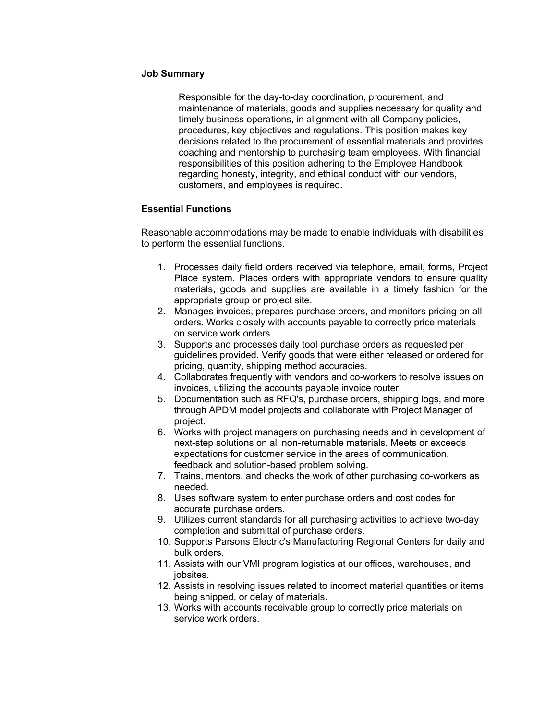#### **Job Summary**

Responsible for the day-to-day coordination, procurement, and maintenance of materials, goods and supplies necessary for quality and timely business operations, in alignment with all Company policies, procedures, key objectives and regulations. This position makes key decisions related to the procurement of essential materials and provides coaching and mentorship to purchasing team employees. With financial responsibilities of this position adhering to the Employee Handbook regarding honesty, integrity, and ethical conduct with our vendors, customers, and employees is required.

### **Essential Functions**

Reasonable accommodations may be made to enable individuals with disabilities to perform the essential functions.

- 1. Processes daily field orders received via telephone, email, forms, Project Place system. Places orders with appropriate vendors to ensure quality materials, goods and supplies are available in a timely fashion for the appropriate group or project site.
- 2. Manages invoices, prepares purchase orders, and monitors pricing on all orders. Works closely with accounts payable to correctly price materials on service work orders.
- 3. Supports and processes daily tool purchase orders as requested per guidelines provided. Verify goods that were either released or ordered for pricing, quantity, shipping method accuracies.
- 4. Collaborates frequently with vendors and co-workers to resolve issues on invoices, utilizing the accounts payable invoice router.
- 5. Documentation such as RFQ's, purchase orders, shipping logs, and more through APDM model projects and collaborate with Project Manager of project.
- 6. Works with project managers on purchasing needs and in development of next-step solutions on all non-returnable materials. Meets or exceeds expectations for customer service in the areas of communication, feedback and solution-based problem solving.
- 7. Trains, mentors, and checks the work of other purchasing co-workers as needed.
- 8. Uses software system to enter purchase orders and cost codes for accurate purchase orders.
- 9. Utilizes current standards for all purchasing activities to achieve two-day completion and submittal of purchase orders.
- 10. Supports Parsons Electric's Manufacturing Regional Centers for daily and bulk orders.
- 11. Assists with our VMI program logistics at our offices, warehouses, and jobsites.
- 12. Assists in resolving issues related to incorrect material quantities or items being shipped, or delay of materials.
- 13. Works with accounts receivable group to correctly price materials on service work orders.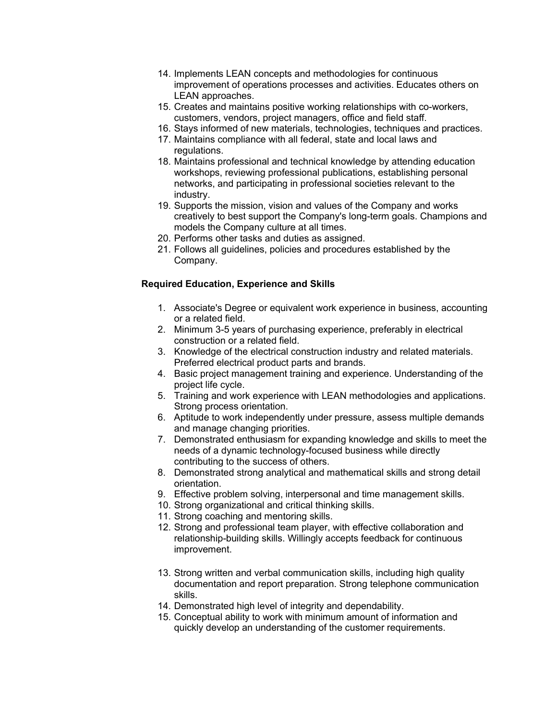- 14. Implements LEAN concepts and methodologies for continuous improvement of operations processes and activities. Educates others on LEAN approaches.
- 15. Creates and maintains positive working relationships with co-workers, customers, vendors, project managers, office and field staff.
- 16. Stays informed of new materials, technologies, techniques and practices.
- 17. Maintains compliance with all federal, state and local laws and regulations.
- 18. Maintains professional and technical knowledge by attending education workshops, reviewing professional publications, establishing personal networks, and participating in professional societies relevant to the industry.
- 19. Supports the mission, vision and values of the Company and works creatively to best support the Company's long-term goals. Champions and models the Company culture at all times.
- 20. Performs other tasks and duties as assigned.
- 21. Follows all guidelines, policies and procedures established by the Company.

## **Required Education, Experience and Skills**

- 1. Associate's Degree or equivalent work experience in business, accounting or a related field.
- 2. Minimum 3-5 years of purchasing experience, preferably in electrical construction or a related field.
- 3. Knowledge of the electrical construction industry and related materials. Preferred electrical product parts and brands.
- 4. Basic project management training and experience. Understanding of the project life cycle.
- 5. Training and work experience with LEAN methodologies and applications. Strong process orientation.
- 6. Aptitude to work independently under pressure, assess multiple demands and manage changing priorities.
- 7. Demonstrated enthusiasm for expanding knowledge and skills to meet the needs of a dynamic technology-focused business while directly contributing to the success of others.
- 8. Demonstrated strong analytical and mathematical skills and strong detail orientation.
- 9. Effective problem solving, interpersonal and time management skills.
- 10. Strong organizational and critical thinking skills.
- 11. Strong coaching and mentoring skills.
- 12. Strong and professional team player, with effective collaboration and relationship-building skills. Willingly accepts feedback for continuous improvement.
- 13. Strong written and verbal communication skills, including high quality documentation and report preparation. Strong telephone communication skills.
- 14. Demonstrated high level of integrity and dependability.
- 15. Conceptual ability to work with minimum amount of information and quickly develop an understanding of the customer requirements.